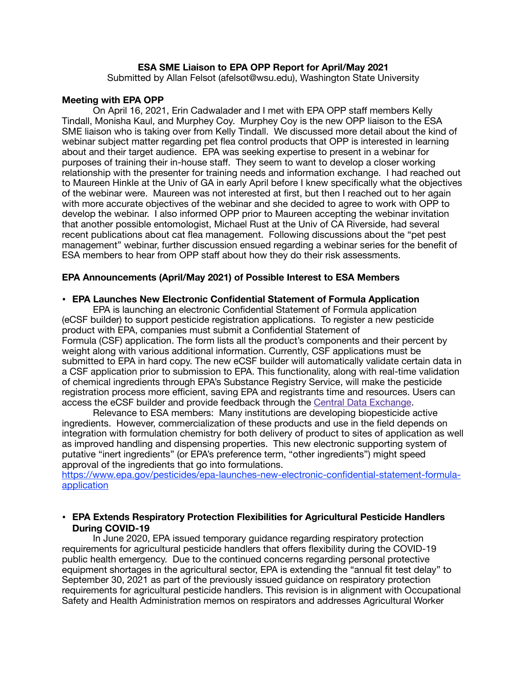### **ESA SME Liaison to EPA OPP Report for April/May 2021**

Submitted by Allan Felsot (afelsot@wsu.edu), Washington State University

#### **Meeting with EPA OPP**

On April 16, 2021, Erin Cadwalader and I met with EPA OPP staff members Kelly Tindall, Monisha Kaul, and Murphey Coy. Murphey Coy is the new OPP liaison to the ESA SME liaison who is taking over from Kelly Tindall. We discussed more detail about the kind of webinar subject matter regarding pet flea control products that OPP is interested in learning about and their target audience. EPA was seeking expertise to present in a webinar for purposes of training their in-house staff. They seem to want to develop a closer working relationship with the presenter for training needs and information exchange. I had reached out to Maureen Hinkle at the Univ of GA in early April before I knew specifically what the objectives of the webinar were. Maureen was not interested at first, but then I reached out to her again with more accurate objectives of the webinar and she decided to agree to work with OPP to develop the webinar. I also informed OPP prior to Maureen accepting the webinar invitation that another possible entomologist, Michael Rust at the Univ of CA Riverside, had several recent publications about cat flea management. Following discussions about the "pet pest management" webinar, further discussion ensued regarding a webinar series for the benefit of ESA members to hear from OPP staff about how they do their risk assessments.

### **EPA Announcements (April/May 2021) of Possible Interest to ESA Members**

#### **• EPA Launches New Electronic Confidential Statement of Formula Application**

EPA is launching an electronic Confidential Statement of Formula application (eCSF builder) to support pesticide registration applications. To register a new pesticide product with EPA, companies must submit a Confidential Statement of Formula (CSF) application. The form lists all the product's components and their percent by weight along with various additional information. Currently, CSF applications must be submitted to EPA in hard copy. The new eCSF builder will automatically validate certain data in a CSF application prior to submission to EPA. This functionality, along with real-time validation of chemical ingredients through EPA's Substance Registry Service, will make the pesticide registration process more efficient, saving EPA and registrants time and resources. Users can access the eCSF builder and provide feedback through the [Central Data Exchange](https://cdx.epa.gov/).

Relevance to ESA members: Many institutions are developing biopesticide active ingredients. However, commercialization of these products and use in the field depends on integration with formulation chemistry for both delivery of product to sites of application as well as improved handling and dispensing properties. This new electronic supporting system of putative "inert ingredients" (or EPA's preference term, "other ingredients") might speed approval of the ingredients that go into formulations.

[https://www.epa.gov/pesticides/epa-launches-new-electronic-confidential-statement-formula](https://www.epa.gov/pesticides/epa-launches-new-electronic-confidential-statement-formula-application)[application](https://www.epa.gov/pesticides/epa-launches-new-electronic-confidential-statement-formula-application)

### **• EPA Extends Respiratory Protection Flexibilities for Agricultural Pesticide Handlers During COVID-19**

In June 2020, EPA issued temporary guidance regarding respiratory protection requirements for agricultural pesticide handlers that offers flexibility during the COVID-19 public health emergency. Due to the continued concerns regarding personal protective equipment shortages in the agricultural sector, EPA is extending the "annual fit test delay" to September 30, 2021 as part of the previously issued guidance on respiratory protection requirements for agricultural pesticide handlers. This revision is in alignment with Occupational Safety and Health Administration memos on respirators and addresses Agricultural Worker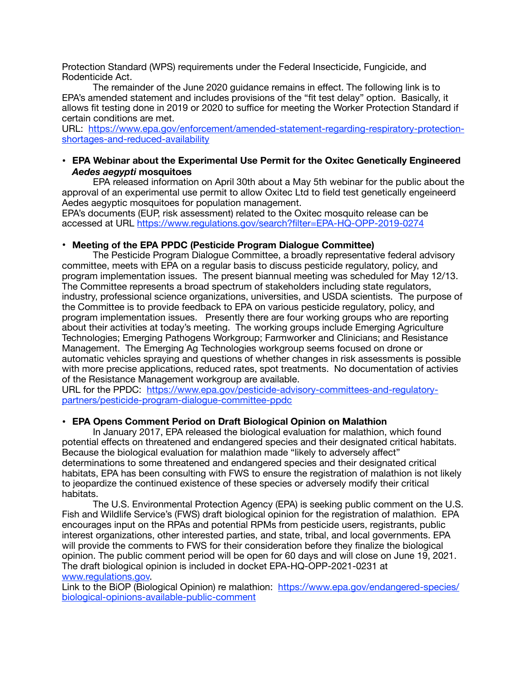Protection Standard (WPS) requirements under the Federal Insecticide, Fungicide, and Rodenticide Act.

The remainder of the June 2020 guidance remains in effect. The following link is to EPA's amended statement and includes provisions of the "fit test delay" option. Basically, it allows fit testing done in 2019 or 2020 to suffice for meeting the Worker Protection Standard if certain conditions are met.

[URL: https://www.epa.gov/enforcement/amended-statement-regarding-respiratory-protection](https://www.epa.gov/enforcement/amended-statement-regarding-respiratory-protection-shortages-and-reduced-availability)[shortages-and-reduced-availability](https://www.epa.gov/enforcement/amended-statement-regarding-respiratory-protection-shortages-and-reduced-availability)

# **• EPA Webinar about the Experimental Use Permit for the Oxitec Genetically Engineered**  *Aedes aegypti* **mosquitoes**

EPA released information on April 30th about a May 5th webinar for the public about the approval of an experimental use permit to allow Oxitec Ltd to field test genetically engeineerd Aedes aegyptic mosquitoes for population management.

EPA's documents (EUP, risk assessment) related to the Oxitec mosquito release can be accessed at URL <https://www.regulations.gov/search?filter=EPA-HQ-OPP-2019-0274>

# **• Meeting of the EPA PPDC (Pesticide Program Dialogue Committee)**

The Pesticide Program Dialogue Committee, a broadly representative federal advisory committee, meets with EPA on a regular basis to discuss pesticide regulatory, policy, and program implementation issues. The present biannual meeting was scheduled for May 12/13. The Committee represents a broad spectrum of stakeholders including state regulators, industry, professional science organizations, universities, and USDA scientists. The purpose of the Committee is to provide feedback to EPA on various pesticide regulatory, policy, and program implementation issues. Presently there are four working groups who are reporting about their activities at today's meeting. The working groups include Emerging Agriculture Technologies; Emerging Pathogens Workgroup; Farmworker and Clinicians; and Resistance Management. The Emerging Ag Technologies workgroup seems focused on drone or automatic vehicles spraying and questions of whether changes in risk assessments is possible with more precise applications, reduced rates, spot treatments. No documentation of activies of the Resistance Management workgroup are available.

URL for the PPDC: [https://www.epa.gov/pesticide-advisory-committees-and-regulatory](https://www.epa.gov/pesticide-advisory-committees-and-regulatory-partners/pesticide-program-dialogue-committee-ppdc)[partners/pesticide-program-dialogue-committee-ppdc](https://www.epa.gov/pesticide-advisory-committees-and-regulatory-partners/pesticide-program-dialogue-committee-ppdc)

# **• EPA Opens Comment Period on Draft Biological Opinion on Malathion**

In January 2017, EPA released the biological evaluation for malathion, which found potential effects on threatened and endangered species and their designated critical habitats. Because the biological evaluation for malathion made "likely to adversely affect" determinations to some threatened and endangered species and their designated critical habitats, EPA has been consulting with FWS to ensure the registration of malathion is not likely to jeopardize the continued existence of these species or adversely modify their critical habitats.

The U.S. Environmental Protection Agency (EPA) is seeking public comment on the U.S. Fish and Wildlife Service's (FWS) draft biological opinion for the registration of malathion. EPA encourages input on the RPAs and potential RPMs from pesticide users, registrants, public interest organizations, other interested parties, and state, tribal, and local governments. EPA will provide the comments to FWS for their consideration before they finalize the biological opinion. The public comment period will be open for 60 days and will close on June 19, 2021. The draft biological opinion is included in docket EPA-HQ-OPP-2021-0231 at [www.regulations.gov.](http://www.regulations.gov)

Link to the BiOP (Biological Opinion) re malathion: [https://www.epa.gov/endangered-species/](https://www.epa.gov/endangered-species/biological-opinions-available-public-comment) [biological-opinions-available-public-comment](https://www.epa.gov/endangered-species/biological-opinions-available-public-comment)